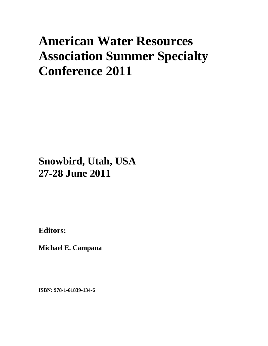# **American Water Resources Association Summer Specialty Conference 2011**

# **Snowbird, Utah, USA 27-28 June 2011**

**Editors:** 

**Michael E. Campana** 

**ISBN: 978-1-61839-134-6**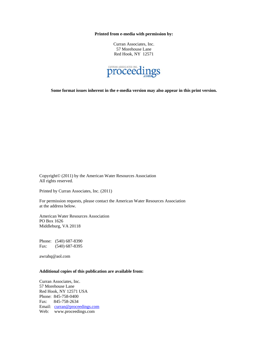**Printed from e-media with permission by:** 

Curran Associates, Inc. 57 Morehouse Lane Red Hook, NY 12571



**Some format issues inherent in the e-media version may also appear in this print version.** 

Copyright© (2011) by the American Water Resources Association All rights reserved.

Printed by Curran Associates, Inc. (2011)

For permission requests, please contact the American Water Resources Association at the address below.

American Water Resources Association PO Box 1626 Middleburg, VA 20118

Phone: (540) 687-8390 Fax: (540) 687-8395

awrahq@aol.com

# **Additional copies of this publication are available from:**

Curran Associates, Inc. 57 Morehouse Lane Red Hook, NY 12571 USA Phone: 845-758-0400 Fax: 845-758-2634 Email: curran@proceedings.com Web: www.proceedings.com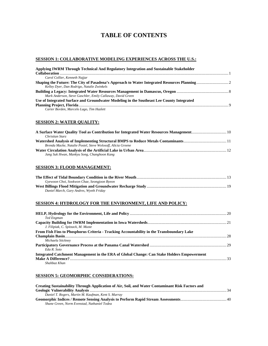# **TABLE OF CONTENTS**

# **SESSION 1: COLLABORATIVE MODELING EXPERIENCES ACROSS THE U.S.:**

| Applying IWRM Through Technical And Regulatory Integration and Sustainable Stakeholder    |  |
|-------------------------------------------------------------------------------------------|--|
|                                                                                           |  |
| Carol Collier, Kenneth Najjar                                                             |  |
|                                                                                           |  |
| Kelley Dyer, Dan Rodrigo, Natalie Zwinkels                                                |  |
|                                                                                           |  |
| Mark Anderson, Steve Gaschler, Emily Callaway, David Green                                |  |
| Use of Integrated Surface and Groundwater Modeling in the Southeast Lee County Integrated |  |
|                                                                                           |  |
| Carter Borden, Marcelo Lago, Tim Hazlett                                                  |  |
|                                                                                           |  |

#### **SESSION 2: WATER QUALITY:**

| Christian Starz                                             |  |
|-------------------------------------------------------------|--|
|                                                             |  |
| Brenda Macke, Natalie Postel, Steve Wolosoff, Alicia Greene |  |
|                                                             |  |
| Jang Suk Hwan, Mankyu Song, Changhoon Kang                  |  |

# **SESSION 3: FLOOD MANAGEMENT:**

| Gyewoon Choi, Sookwon Chae, Seongjoon Byeon |  |
|---------------------------------------------|--|
|                                             |  |
| Daniel March, Gary Andres, Wyeth Friday     |  |

#### **SESSION 4: HYDROLOGY FOR THE ENVIRONMENT, LIFE AND POLICY:**

| Ted Engman<br>J. Filipiak, C. Spitzack, M. Muste                                           |  |
|--------------------------------------------------------------------------------------------|--|
| From Fish Fins to Phosphorus Criteria - Tracking Accountability in the Transboundary Lake  |  |
|                                                                                            |  |
| Michaela Stickney                                                                          |  |
|                                                                                            |  |
| Eda R. Soto                                                                                |  |
| Integrated Catchment Management in the ERA of Global Change: Can Stake Holders Empowerment |  |
|                                                                                            |  |
| Shahbaz Khan                                                                               |  |

#### **SESSION 5: GEOMORPHIC CONSIDERATIONS:**

| Creating Sustainability Through Application of Air, Soil, and Water Contaminant Risk Factors and |  |
|--------------------------------------------------------------------------------------------------|--|
|                                                                                                  |  |
| Daniel T. Rogers, Martin M. Kaufman, Kent S. Murray                                              |  |
| Shane Green, Norm Evenstad, Nathaniel Todea                                                      |  |
|                                                                                                  |  |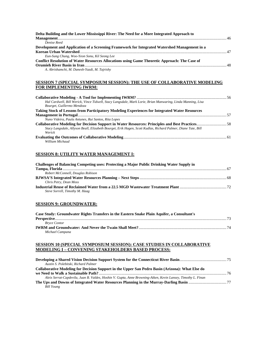| Delta Building and the Lower Mississippi River: The Need for a More Integrated Approach to           |  |
|------------------------------------------------------------------------------------------------------|--|
|                                                                                                      |  |
| Denise Reed                                                                                          |  |
| Development and Application of a Screening Framework for Integrated Watershed Management in a        |  |
|                                                                                                      |  |
| Eun-Sung Chung, Woo-Yeon Sonu, Kil Seong Lee                                                         |  |
| <b>Conflict Resolution of Water Resources Allocations using Game Theoretic Approach: The Case of</b> |  |
|                                                                                                      |  |
| A. Abrishamchi, M. Danesh-Yazdi, M. Tajrishy                                                         |  |

# **SESSION 7 (SPECIAL SYMPOSIUM SESSION): THE USE OF COLLABORATIVE MODELING FOR IMPLEMENTING IWRM:**

| Hal Cardwell, Bill Werick, Vince Tidwell, Stacy Langsdale, Mark Lorie, Brian Manwaring, Linda Manning, Lisa   |  |
|---------------------------------------------------------------------------------------------------------------|--|
| Bourget, Guillermo Mendoza                                                                                    |  |
| Taking Stock of Lessons from Participatory Modeling Experiences for Integrated Water Resources                |  |
|                                                                                                               |  |
| Nuno Videira, Paula Antunes, Rui Santos, Rita Lopes                                                           |  |
|                                                                                                               |  |
| Stacy Langsdale, Allyson Beall, Elizabeth Bourget, Erik Hagen, Scott Kudlas, Richard Palmer, Diane Tate, Bill |  |
| Werick                                                                                                        |  |
|                                                                                                               |  |
| William Michaud                                                                                               |  |

# **SESSION 8: UTILITY WATER MANAGEMENT I:**

| Challenges of Balancing Competing uses: Protecting a Major Public Drinking Water Supply in |  |
|--------------------------------------------------------------------------------------------|--|
|                                                                                            |  |
| Robert McConnell, Douglas Robison                                                          |  |
|                                                                                            |  |
| Chris Petry, Dean Moss                                                                     |  |
|                                                                                            |  |
| Steve Sorrell, Timothy M. Haag                                                             |  |

# **SESSION 9: GROUNDWATER:**

| Case Study: Groundwater Rights Transfers in the Eastern Snake Plain Aquifer, a Consultant's |  |
|---------------------------------------------------------------------------------------------|--|
|                                                                                             |  |
| <b>Bryce Contor</b>                                                                         |  |
|                                                                                             |  |
| Michael Campana                                                                             |  |

# **SESSION 10 (SPECIAL SYMPOSIUM SESSION): CASE STUDIES IN COLLABORATIVE MODELING I – CONVENING STAKEHOLDERS BASED PROCESS:**

| Austin S. Polebitski, Richard Palmer                                                                         |      |
|--------------------------------------------------------------------------------------------------------------|------|
| Collaborative Modeling for Decision Support in the Upper San Pedro Basin (Arizona): What Else do             |      |
|                                                                                                              | - 76 |
| Aleix Serrat-Capdevila, Juan B. Valdes, Hoshin V. Gupta, Anne Browning-Aiken, Kevin Lansey, Timothy L. Finan |      |
| Bill Young                                                                                                   |      |
|                                                                                                              |      |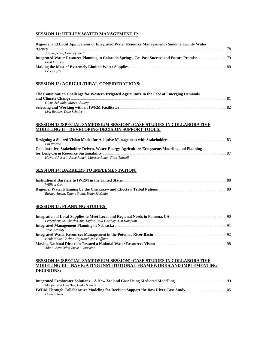# **SESSION 11: UTILITY WATER MANAGEMENT II:**

| Regional and Local Applications of Integrated Water Resource Management - Sonoma County Water                                                                            |  |
|--------------------------------------------------------------------------------------------------------------------------------------------------------------------------|--|
| Jay Jasperse, Don Seymour                                                                                                                                                |  |
| <b>Brett Gracely</b>                                                                                                                                                     |  |
|                                                                                                                                                                          |  |
| <b>Bruce Lytle</b>                                                                                                                                                       |  |
| SESSION 12: AGRICULTURAL CONSIDERATIONS:                                                                                                                                 |  |
| The Conservation Challenge for Western Irrigated Agriculture in the Face of Emerging Demands                                                                             |  |
| Glenn Schaible, Marcel Aillery                                                                                                                                           |  |
| Lisa Beutler, Dale Schafer                                                                                                                                               |  |
| <b>SESSION 13 (SPECIAL SYMPOSIUM SESSION): CASE STUDIES IN COLLABORATIVE</b>                                                                                             |  |
| <b>MODELING II - DEVELOPING DECISION SUPPORT TOOLS:</b>                                                                                                                  |  |
| <b>Bill Werick</b>                                                                                                                                                       |  |
| Collaborative, Stakeholder-Driven, Water-Energy-Agriculture-Ecosystems Modeling and Planning                                                                             |  |
|                                                                                                                                                                          |  |
| Howard Passell, Jesse Roach, Marissa Reno, Vince Tidwell                                                                                                                 |  |
| <b>SESSION 14: BARRIERS TO IMPLEMENTATION:</b>                                                                                                                           |  |
| William Cox                                                                                                                                                              |  |
|                                                                                                                                                                          |  |
| Barney Austin, Duane Smith, Brian McClain                                                                                                                                |  |
| <b>SESSION 15: PLANNING STUDIES:</b>                                                                                                                                     |  |
| Persephene St. Charles, Jim Taylor, Raul Garibay, Tim Hampton                                                                                                            |  |
| Jesse Bradlev                                                                                                                                                            |  |
| Heidi Moltz, Carlton Haywood, Joe Hoffman                                                                                                                                |  |
| Ada L. Benavides, Steve L. Stockton                                                                                                                                      |  |
| <u>SESSION 16 (SPECIAL SYMPOSIUM SESSION): CASE STUDIES IN COLLABORATIVE</u><br>MODELING III – NAVIGATING INSTITUTIONAL FRAMEWORKS AND IMPLEMENTING<br><b>DECISIONS:</b> |  |
|                                                                                                                                                                          |  |
| Marjan Van Den Belt, Heike Schiele                                                                                                                                       |  |

**IWRM Through Collaborative Modeling for Decision Support the Bow River Case Study**....................................... 105 *Daniel Sheer*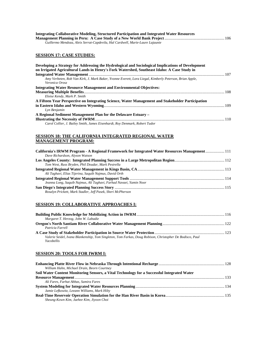| Integrating Collaborative Modeling, Structured Participation and Integrated Water Resources |  |
|---------------------------------------------------------------------------------------------|--|
|                                                                                             |  |
| Guillermo Mendoza, Aleix Serrat-Capdevila, Hal Cardwell, Marie-Laure Lajaunie               |  |

# **SESSION 17: CASE STUDIES:**

| Developing a Strategy for Addressing the Hydrological and Sociological Implications of Development      |  |
|---------------------------------------------------------------------------------------------------------|--|
| on Irrigated Agricultural Lands in Henry's Fork Watershed, Southeast Idaho: A Case Study in             |  |
|                                                                                                         |  |
| Amy Verbeten, Rob Van Kirk, J. Mark Baker, Yvonne Everett, Lora Liegal, Kimberly Peterson, Brian Apple, |  |
| Veronica Orosz                                                                                          |  |
| <b>Integrating Water Resource Management and Environmental Objectives:</b>                              |  |
|                                                                                                         |  |
| Eloise Kendy, Mark P. Smith                                                                             |  |
| A Fifteen Year Perspective on Integrating Science, Water Management and Stakeholder Participation       |  |
|                                                                                                         |  |
| Lyn Benjamin                                                                                            |  |
| A Regional Sediment Management Plan for the Delaware Estuary –                                          |  |
|                                                                                                         |  |
| Carol Collier, J. Bailey Smith, James Eisenhardt, Roy Denmark, Robert Tudor                             |  |

# **SESSION 18: THE CALIFORNIA INTEGRATED REGIONAL WATER MANAGEMENT PROGRAM:**

| California's IRWM Program - A Regional Framework for Integrated Water Resources Management 111 |  |
|------------------------------------------------------------------------------------------------|--|
| Dave Richardson, Alyson Watson                                                                 |  |
|                                                                                                |  |
| Tom West, Russ Bryden, Phil Doudar, Mark Pestrella                                             |  |
|                                                                                                |  |
| Ali Taghavi, Elias Tijerina, Saquib Najmus, David Orth                                         |  |
|                                                                                                |  |
| Jeanna Long, Saquib Najmus, Ali Taghavi, Farhad Navaei, Yamin Noor                             |  |
|                                                                                                |  |
| Rosalyn Prickett, Mark Stadler, Jeff Pasek, Sheri McPherson                                    |  |

# **SESSION 19: COLLABORATIVE APPROACHES I:**

| Margaret T. Herzog, John W. Labadie                                                                      |  |
|----------------------------------------------------------------------------------------------------------|--|
|                                                                                                          |  |
| Patricia Farrell                                                                                         |  |
|                                                                                                          |  |
| Valerie Seidel, Ivana Blankenship, Tom Singleton, Tom Farkas, Doug Robison, Christopher De Bodisco, Paul |  |
| Yacobellis                                                                                               |  |

# **SESSION 20: TOOLS FOR IWRM I:**

| William Hahn, Michael Drain, Beorn Courtney                                                 |  |
|---------------------------------------------------------------------------------------------|--|
| Soil Water Content Monitoring Sensors, a Vital Technology for a Successful Integrated Water |  |
|                                                                                             |  |
| Ali Fares, Farhat Abbas, Samira Fares                                                       |  |
|                                                                                             |  |
| Jamie Lefkowitz, Leeann Williams, Mark Hilty                                                |  |
|                                                                                             |  |
| Sheung-Kown Kim, Jaehee Kim, Jiyoon Choi                                                    |  |
|                                                                                             |  |